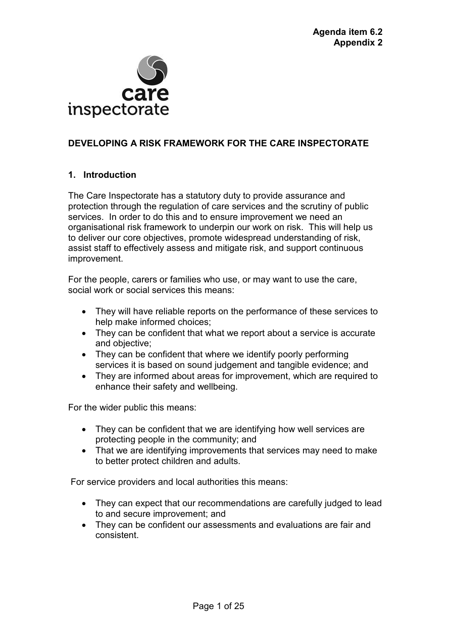

# **DEVELOPING A RISK FRAMEWORK FOR THE CARE INSPECTORATE**

# **1. Introduction**

The Care Inspectorate has a statutory duty to provide assurance and protection through the regulation of care services and the scrutiny of public services. In order to do this and to ensure improvement we need an organisational risk framework to underpin our work on risk. This will help us to deliver our core objectives, promote widespread understanding of risk, assist staff to effectively assess and mitigate risk, and support continuous improvement.

For the people, carers or families who use, or may want to use the care, social work or social services this means:

- They will have reliable reports on the performance of these services to help make informed choices;
- They can be confident that what we report about a service is accurate and objective;
- They can be confident that where we identify poorly performing services it is based on sound judgement and tangible evidence; and
- They are informed about areas for improvement, which are required to enhance their safety and wellbeing.

For the wider public this means:

- They can be confident that we are identifying how well services are protecting people in the community; and
- That we are identifying improvements that services may need to make to better protect children and adults.

For service providers and local authorities this means:

- They can expect that our recommendations are carefully judged to lead to and secure improvement; and
- They can be confident our assessments and evaluations are fair and consistent.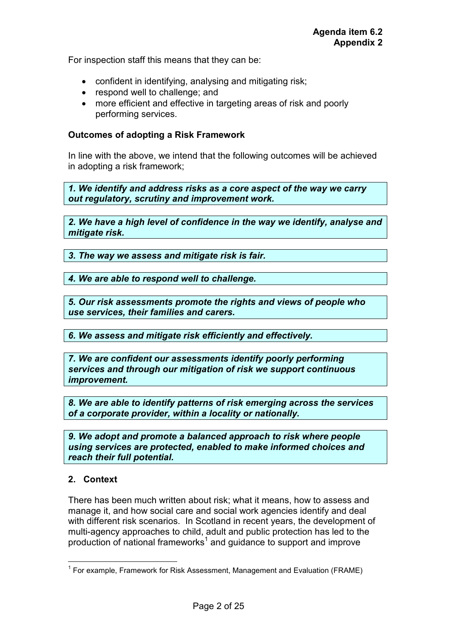For inspection staff this means that they can be:

- confident in identifying, analysing and mitigating risk;
- respond well to challenge: and
- more efficient and effective in targeting areas of risk and poorly performing services.

#### **Outcomes of adopting a Risk Framework**

In line with the above, we intend that the following outcomes will be achieved in adopting a risk framework;

*1. We identify and address risks as a core aspect of the way we carry out regulatory, scrutiny and improvement work.* 

*2. We have a high level of confidence in the way we identify, analyse and mitigate risk.* 

*3. The way we assess and mitigate risk is fair.* 

*4. We are able to respond well to challenge.*

*5. Our risk assessments promote the rights and views of people who use services, their families and carers.* 

*6. We assess and mitigate risk efficiently and effectively.*

*7. We are confident our assessments identify poorly performing services and through our mitigation of risk we support continuous improvement.* 

*8. We are able to identify patterns of risk emerging across the services of a corporate provider, within a locality or nationally.* 

*9. We adopt and promote a balanced approach to risk where people using services are protected, enabled to make informed choices and reach their full potential.* 

## **2. Context**

 $\overline{a}$ 

There has been much written about risk; what it means, how to assess and manage it, and how social care and social work agencies identify and deal with different risk scenarios. In Scotland in recent years, the development of multi-agency approaches to child, adult and public protection has led to the production of national frameworks<sup>1</sup> and guidance to support and improve

<sup>&</sup>lt;sup>1</sup> For example, Framework for Risk Assessment, Management and Evaluation (FRAME)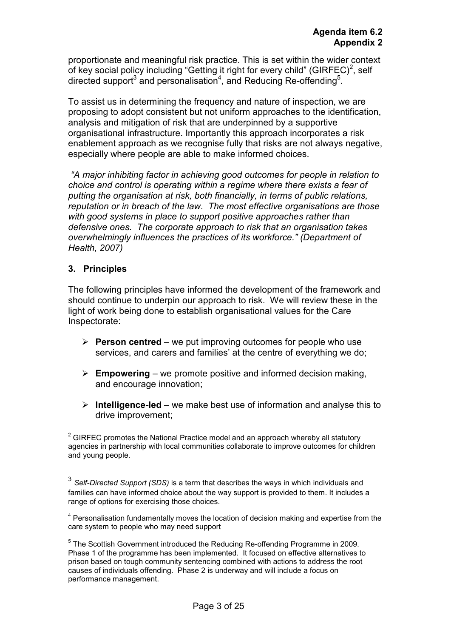proportionate and meaningful risk practice. This is set within the wider context of key social policy including "Getting it right for every child" (GIRFEC)<sup>2</sup>, self directed support<sup>3</sup> and personalisation<sup>4</sup>, and Reducing Re-offending<sup>5</sup>.

To assist us in determining the frequency and nature of inspection, we are proposing to adopt consistent but not uniform approaches to the identification, analysis and mitigation of risk that are underpinned by a supportive organisational infrastructure. Importantly this approach incorporates a risk enablement approach as we recognise fully that risks are not always negative, especially where people are able to make informed choices.

*"A major inhibiting factor in achieving good outcomes for people in relation to choice and control is operating within a regime where there exists a fear of putting the organisation at risk, both financially, in terms of public relations, reputation or in breach of the law. The most effective organisations are those with good systems in place to support positive approaches rather than defensive ones. The corporate approach to risk that an organisation takes overwhelmingly influences the practices of its workforce." (Department of Health, 2007)* 

# **3. Principles**

 $\overline{a}$ 

The following principles have informed the development of the framework and should continue to underpin our approach to risk. We will review these in the light of work being done to establish organisational values for the Care Inspectorate:

- **Person centred** we put improving outcomes for people who use services, and carers and families' at the centre of everything we do;
- **Empowering**  we promote positive and informed decision making, and encourage innovation;
- **Intelligence-led** we make best use of information and analyse this to drive improvement;

 $2$  GIRFEC promotes the National Practice model and an approach whereby all statutory agencies in partnership with local communities collaborate to improve outcomes for children and young people.

<sup>3</sup> *Self-Directed Support (SDS)* is a term that describes the ways in which individuals and families can have informed choice about the way support is provided to them. It includes a range of options for exercising those choices.

<sup>&</sup>lt;sup>4</sup> Personalisation fundamentally moves the location of decision making and expertise from the care system to people who may need support

<sup>&</sup>lt;sup>5</sup> The Scottish Government introduced the Reducing Re-offending Programme in 2009. Phase 1 of the programme has been implemented. It focused on effective alternatives to prison based on tough community sentencing combined with actions to address the root causes of individuals offending. Phase 2 is underway and will include a focus on performance management.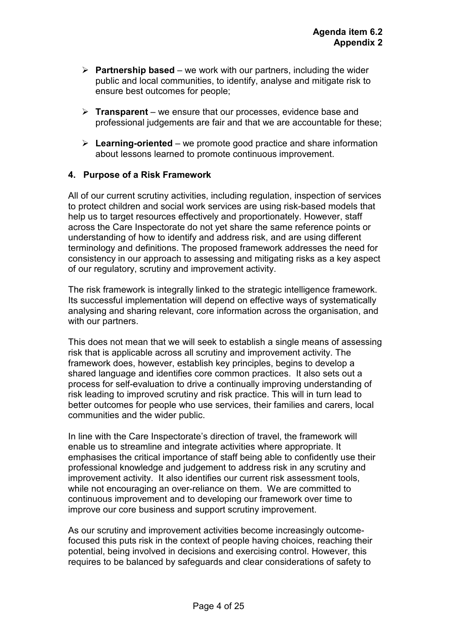- **Partnership based**  we work with our partners, including the wider public and local communities, to identify, analyse and mitigate risk to ensure best outcomes for people;
- **Transparent**  we ensure that our processes, evidence base and professional judgements are fair and that we are accountable for these;
- **Learning-oriented** we promote good practice and share information about lessons learned to promote continuous improvement.

## **4. Purpose of a Risk Framework**

All of our current scrutiny activities, including regulation, inspection of services to protect children and social work services are using risk-based models that help us to target resources effectively and proportionately. However, staff across the Care Inspectorate do not yet share the same reference points or understanding of how to identify and address risk, and are using different terminology and definitions. The proposed framework addresses the need for consistency in our approach to assessing and mitigating risks as a key aspect of our regulatory, scrutiny and improvement activity.

The risk framework is integrally linked to the strategic intelligence framework. Its successful implementation will depend on effective ways of systematically analysing and sharing relevant, core information across the organisation, and with our partners.

This does not mean that we will seek to establish a single means of assessing risk that is applicable across all scrutiny and improvement activity. The framework does, however, establish key principles, begins to develop a shared language and identifies core common practices. It also sets out a process for self-evaluation to drive a continually improving understanding of risk leading to improved scrutiny and risk practice. This will in turn lead to better outcomes for people who use services, their families and carers, local communities and the wider public.

In line with the Care Inspectorate's direction of travel, the framework will enable us to streamline and integrate activities where appropriate. It emphasises the critical importance of staff being able to confidently use their professional knowledge and judgement to address risk in any scrutiny and improvement activity. It also identifies our current risk assessment tools, while not encouraging an over-reliance on them. We are committed to continuous improvement and to developing our framework over time to improve our core business and support scrutiny improvement.

As our scrutiny and improvement activities become increasingly outcomefocused this puts risk in the context of people having choices, reaching their potential, being involved in decisions and exercising control. However, this requires to be balanced by safeguards and clear considerations of safety to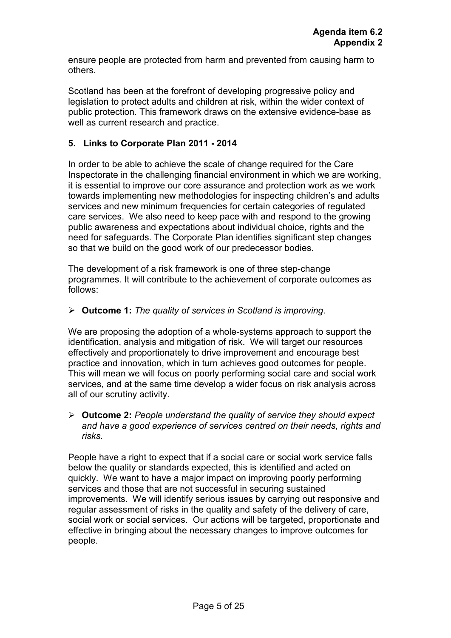ensure people are protected from harm and prevented from causing harm to others.

Scotland has been at the forefront of developing progressive policy and legislation to protect adults and children at risk, within the wider context of public protection. This framework draws on the extensive evidence-base as well as current research and practice.

## **5. Links to Corporate Plan 2011 - 2014**

In order to be able to achieve the scale of change required for the Care Inspectorate in the challenging financial environment in which we are working, it is essential to improve our core assurance and protection work as we work towards implementing new methodologies for inspecting children's and adults services and new minimum frequencies for certain categories of regulated care services. We also need to keep pace with and respond to the growing public awareness and expectations about individual choice, rights and the need for safeguards. The Corporate Plan identifies significant step changes so that we build on the good work of our predecessor bodies.

The development of a risk framework is one of three step-change programmes. It will contribute to the achievement of corporate outcomes as follows:

## **Outcome 1:** *The quality of services in Scotland is improving*.

We are proposing the adoption of a whole-systems approach to support the identification, analysis and mitigation of risk. We will target our resources effectively and proportionately to drive improvement and encourage best practice and innovation, which in turn achieves good outcomes for people. This will mean we will focus on poorly performing social care and social work services, and at the same time develop a wider focus on risk analysis across all of our scrutiny activity.

 **Outcome 2:** *People understand the quality of service they should expect and have a good experience of services centred on their needs, rights and risks.* 

People have a right to expect that if a social care or social work service falls below the quality or standards expected, this is identified and acted on quickly. We want to have a major impact on improving poorly performing services and those that are not successful in securing sustained improvements. We will identify serious issues by carrying out responsive and regular assessment of risks in the quality and safety of the delivery of care, social work or social services. Our actions will be targeted, proportionate and effective in bringing about the necessary changes to improve outcomes for people.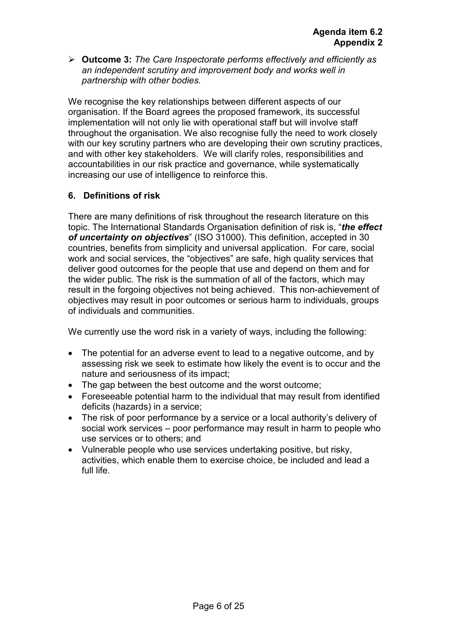**Outcome 3:** *The Care Inspectorate performs effectively and efficiently as an independent scrutiny and improvement body and works well in partnership with other bodies.* 

We recognise the key relationships between different aspects of our organisation. If the Board agrees the proposed framework, its successful implementation will not only lie with operational staff but will involve staff throughout the organisation. We also recognise fully the need to work closely with our key scrutiny partners who are developing their own scrutiny practices, and with other key stakeholders. We will clarify roles, responsibilities and accountabilities in our risk practice and governance, while systematically increasing our use of intelligence to reinforce this.

# **6. Definitions of risk**

There are many definitions of risk throughout the research literature on this topic. The International Standards Organisation definition of risk is, "*the effect of uncertainty on objectives*" (ISO 31000). This definition, accepted in 30 countries, benefits from simplicity and universal application. For care, social work and social services, the "objectives" are safe, high quality services that deliver good outcomes for the people that use and depend on them and for the wider public. The risk is the summation of all of the factors, which may result in the forgoing objectives not being achieved. This non-achievement of objectives may result in poor outcomes or serious harm to individuals, groups of individuals and communities.

We currently use the word risk in a variety of ways, including the following:

- The potential for an adverse event to lead to a negative outcome, and by assessing risk we seek to estimate how likely the event is to occur and the nature and seriousness of its impact;
- The gap between the best outcome and the worst outcome;
- Foreseeable potential harm to the individual that may result from identified deficits (hazards) in a service;
- The risk of poor performance by a service or a local authority's delivery of social work services – poor performance may result in harm to people who use services or to others; and
- Vulnerable people who use services undertaking positive, but risky, activities, which enable them to exercise choice, be included and lead a full life.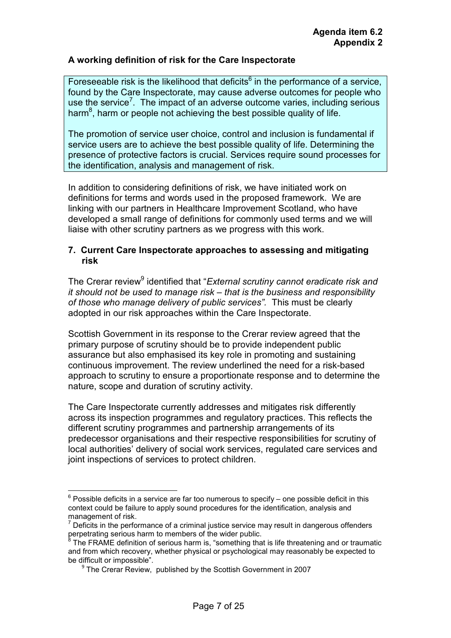## **A working definition of risk for the Care Inspectorate**

Foreseeable risk is the likelihood that deficits $<sup>6</sup>$  in the performance of a service,</sup> found by the Care Inspectorate, may cause adverse outcomes for people who use the service<sup>7</sup>. The impact of an adverse outcome varies, including serious harm $^8$ , harm or people not achieving the best possible quality of life.

The promotion of service user choice, control and inclusion is fundamental if service users are to achieve the best possible quality of life. Determining the presence of protective factors is crucial. Services require sound processes for the identification, analysis and management of risk.

In addition to considering definitions of risk, we have initiated work on definitions for terms and words used in the proposed framework. We are linking with our partners in Healthcare Improvement Scotland, who have developed a small range of definitions for commonly used terms and we will liaise with other scrutiny partners as we progress with this work.

## **7. Current Care Inspectorate approaches to assessing and mitigating risk**

The Crerar review<sup>9</sup> identified that "*External scrutiny cannot eradicate risk and it should not be used to manage risk – that is the business and responsibility of those who manage delivery of public services".* This must be clearly adopted in our risk approaches within the Care Inspectorate.

Scottish Government in its response to the Crerar review agreed that the primary purpose of scrutiny should be to provide independent public assurance but also emphasised its key role in promoting and sustaining continuous improvement. The review underlined the need for a risk-based approach to scrutiny to ensure a proportionate response and to determine the nature, scope and duration of scrutiny activity.

The Care Inspectorate currently addresses and mitigates risk differently across its inspection programmes and regulatory practices. This reflects the different scrutiny programmes and partnership arrangements of its predecessor organisations and their respective responsibilities for scrutiny of local authorities' delivery of social work services, regulated care services and joint inspections of services to protect children.

 $\overline{a}$ 

 $6$  Possible deficits in a service are far too numerous to specify – one possible deficit in this context could be failure to apply sound procedures for the identification, analysis and management of risk.

 $<sup>7</sup>$  Deficits in the performance of a criminal justice service may result in dangerous offenders</sup> perpetrating serious harm to members of the wider public.<br><sup>8</sup> The EBAME definition of acrious harm is "comething the

The FRAME definition of serious harm is, "something that is life threatening and or traumatic and from which recovery, whether physical or psychological may reasonably be expected to be difficult or impossible".

<sup>&</sup>lt;sup>9</sup> The Crerar Review, published by the Scottish Government in 2007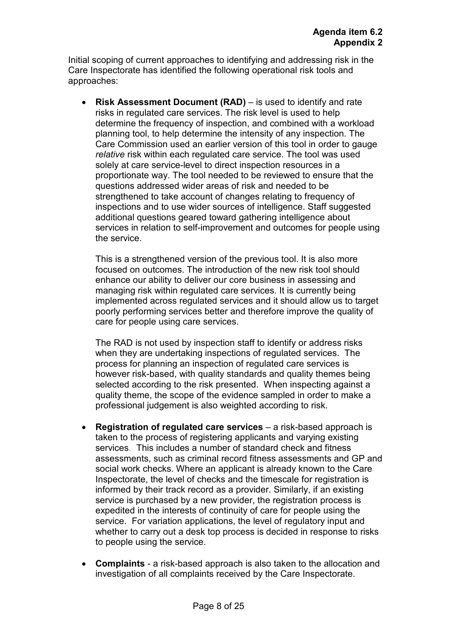Initial scoping of current approaches to identifying and addressing risk in the Care Inspectorate has identified the following operational risk tools and approaches:

• **Risk Assessment Document (RAD)** – is used to identify and rate risks in regulated care services. The risk level is used to help determine the frequency of inspection, and combined with a workload planning tool, to help determine the intensity of any inspection. The Care Commission used an earlier version of this tool in order to gauge *relative* risk within each regulated care service. The tool was used solely at care service-level to direct inspection resources in a proportionate way. The tool needed to be reviewed to ensure that the questions addressed wider areas of risk and needed to be strengthened to take account of changes relating to frequency of inspections and to use wider sources of intelligence. Staff suggested additional questions geared toward gathering intelligence about services in relation to self-improvement and outcomes for people using the service.

This is a strengthened version of the previous tool. It is also more focused on outcomes. The introduction of the new risk tool should enhance our ability to deliver our core business in assessing and managing risk within regulated care services. It is currently being implemented across regulated services and it should allow us to target poorly performing services better and therefore improve the quality of care for people using care services.

The RAD is not used by inspection staff to identify or address risks when they are undertaking inspections of regulated services. The process for planning an inspection of regulated care services is however risk-based, with quality standards and quality themes being selected according to the risk presented. When inspecting against a quality theme, the scope of the evidence sampled in order to make a professional judgement is also weighted according to risk.

- **Registration of regulated care services**  a risk-based approach is taken to the process of registering applicants and varying existing services. This includes a number of standard check and fitness assessments, such as criminal record fitness assessments and GP and social work checks. Where an applicant is already known to the Care Inspectorate, the level of checks and the timescale for registration is informed by their track record as a provider. Similarly, if an existing service is purchased by a new provider, the registration process is expedited in the interests of continuity of care for people using the service. For variation applications, the level of regulatory input and whether to carry out a desk top process is decided in response to risks to people using the service.
- **Complaints** a risk-based approach is also taken to the allocation and investigation of all complaints received by the Care Inspectorate.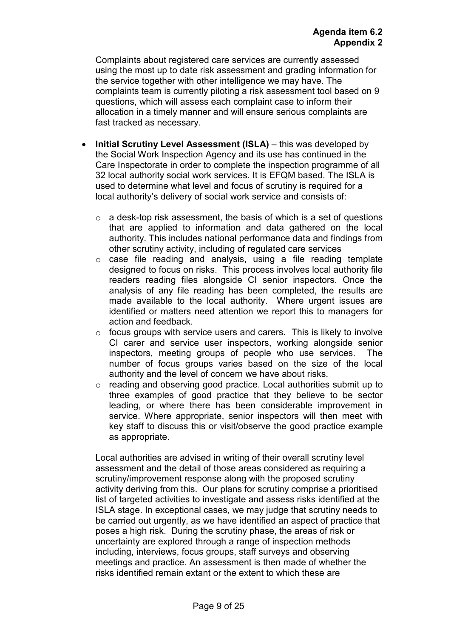Complaints about registered care services are currently assessed using the most up to date risk assessment and grading information for the service together with other intelligence we may have. The complaints team is currently piloting a risk assessment tool based on 9 questions, which will assess each complaint case to inform their allocation in a timely manner and will ensure serious complaints are fast tracked as necessary.

- **Initial Scrutiny Level Assessment (ISLA)** this was developed by the Social Work Inspection Agency and its use has continued in the Care Inspectorate in order to complete the inspection programme of all 32 local authority social work services. It is EFQM based. The ISLA is used to determine what level and focus of scrutiny is required for a local authority's delivery of social work service and consists of:
	- $\circ$  a desk-top risk assessment, the basis of which is a set of questions that are applied to information and data gathered on the local authority. This includes national performance data and findings from other scrutiny activity, including of regulated care services
	- o case file reading and analysis, using a file reading template designed to focus on risks. This process involves local authority file readers reading files alongside CI senior inspectors. Once the analysis of any file reading has been completed, the results are made available to the local authority. Where urgent issues are identified or matters need attention we report this to managers for action and feedback.
	- $\circ$  focus groups with service users and carers. This is likely to involve CI carer and service user inspectors, working alongside senior inspectors, meeting groups of people who use services. The number of focus groups varies based on the size of the local authority and the level of concern we have about risks.
	- o reading and observing good practice. Local authorities submit up to three examples of good practice that they believe to be sector leading, or where there has been considerable improvement in service. Where appropriate, senior inspectors will then meet with key staff to discuss this or visit/observe the good practice example as appropriate.

Local authorities are advised in writing of their overall scrutiny level assessment and the detail of those areas considered as requiring a scrutiny/improvement response along with the proposed scrutiny activity deriving from this. Our plans for scrutiny comprise a prioritised list of targeted activities to investigate and assess risks identified at the ISLA stage. In exceptional cases, we may judge that scrutiny needs to be carried out urgently, as we have identified an aspect of practice that poses a high risk. During the scrutiny phase, the areas of risk or uncertainty are explored through a range of inspection methods including, interviews, focus groups, staff surveys and observing meetings and practice. An assessment is then made of whether the risks identified remain extant or the extent to which these are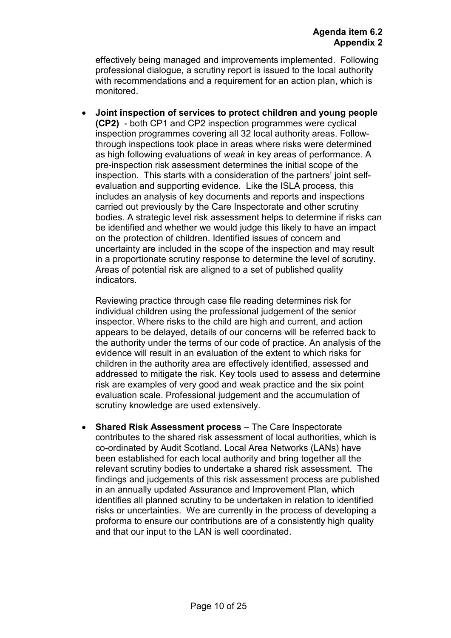effectively being managed and improvements implemented. Following professional dialogue, a scrutiny report is issued to the local authority with recommendations and a requirement for an action plan, which is monitored.

• **Joint inspection of services to protect children and young people (CP2)** - both CP1 and CP2 inspection programmes were cyclical inspection programmes covering all 32 local authority areas. Followthrough inspections took place in areas where risks were determined as high following evaluations of *weak* in key areas of performance. A pre-inspection risk assessment determines the initial scope of the inspection. This starts with a consideration of the partners' joint selfevaluation and supporting evidence. Like the ISLA process, this includes an analysis of key documents and reports and inspections carried out previously by the Care Inspectorate and other scrutiny bodies. A strategic level risk assessment helps to determine if risks can be identified and whether we would judge this likely to have an impact on the protection of children. Identified issues of concern and uncertainty are included in the scope of the inspection and may result in a proportionate scrutiny response to determine the level of scrutiny. Areas of potential risk are aligned to a set of published quality indicators.

Reviewing practice through case file reading determines risk for individual children using the professional judgement of the senior inspector. Where risks to the child are high and current, and action appears to be delayed, details of our concerns will be referred back to the authority under the terms of our code of practice. An analysis of the evidence will result in an evaluation of the extent to which risks for children in the authority area are effectively identified, assessed and addressed to mitigate the risk. Key tools used to assess and determine risk are examples of very good and weak practice and the six point evaluation scale. Professional judgement and the accumulation of scrutiny knowledge are used extensively.

• **Shared Risk Assessment process** – The Care Inspectorate contributes to the shared risk assessment of local authorities, which is co-ordinated by Audit Scotland. Local Area Networks (LANs) have been established for each local authority and bring together all the relevant scrutiny bodies to undertake a shared risk assessment. The findings and judgements of this risk assessment process are published in an annually updated Assurance and Improvement Plan, which identifies all planned scrutiny to be undertaken in relation to identified risks or uncertainties. We are currently in the process of developing a proforma to ensure our contributions are of a consistently high quality and that our input to the LAN is well coordinated.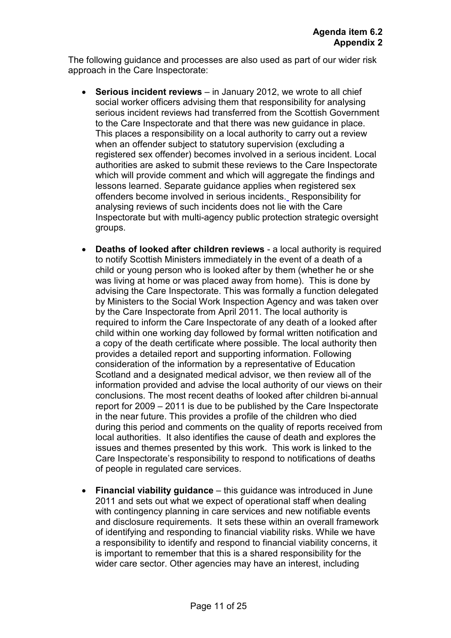The following guidance and processes are also used as part of our wider risk approach in the Care Inspectorate:

- **Serious incident reviews** in January 2012, we wrote to all chief social worker officers advising them that responsibility for analysing serious incident reviews had transferred from the Scottish Government to the Care Inspectorate and that there was new guidance in place. This places a responsibility on a local authority to carry out a review when an offender subject to statutory supervision (excluding a registered sex offender) becomes involved in a serious incident. Local authorities are asked to submit these reviews to the Care Inspectorate which will provide comment and which will aggregate the findings and lessons learned. Separate guidance applies when registered sex offenders become involved in serious incidents. Responsibility for analysing reviews of such incidents does not lie with the Care Inspectorate but with multi-agency public protection strategic oversight groups.
- **Deaths of looked after children reviews** a local authority is required to notify Scottish Ministers immediately in the event of a death of a child or young person who is looked after by them (whether he or she was living at home or was placed away from home). This is done by advising the Care Inspectorate. This was formally a function delegated by Ministers to the Social Work Inspection Agency and was taken over by the Care Inspectorate from April 2011. The local authority is required to inform the Care Inspectorate of any death of a looked after child within one working day followed by formal written notification and a copy of the death certificate where possible. The local authority then provides a detailed report and supporting information. Following consideration of the information by a representative of Education Scotland and a designated medical advisor, we then review all of the information provided and advise the local authority of our views on their conclusions. The most recent deaths of looked after children bi-annual report for 2009 – 2011 is due to be published by the Care Inspectorate in the near future. This provides a profile of the children who died during this period and comments on the quality of reports received from local authorities. It also identifies the cause of death and explores the issues and themes presented by this work. This work is linked to the Care Inspectorate's responsibility to respond to notifications of deaths of people in regulated care services.
- **Financial viability guidance** this guidance was introduced in June 2011 and sets out what we expect of operational staff when dealing with contingency planning in care services and new notifiable events and disclosure requirements. It sets these within an overall framework of identifying and responding to financial viability risks. While we have a responsibility to identify and respond to financial viability concerns, it is important to remember that this is a shared responsibility for the wider care sector. Other agencies may have an interest, including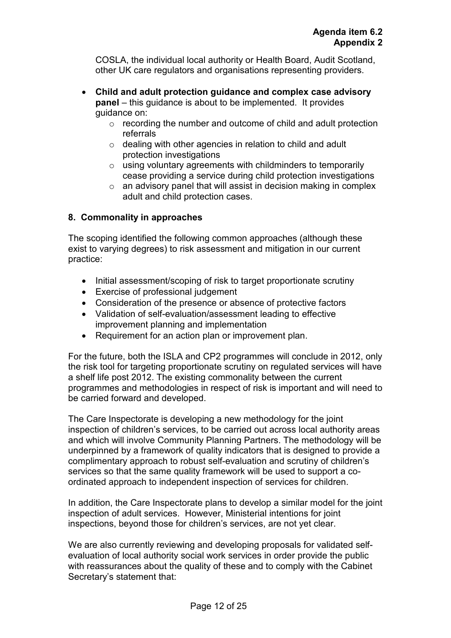COSLA, the individual local authority or Health Board, Audit Scotland, other UK care regulators and organisations representing providers.

- **Child and adult protection guidance and complex case advisory panel** – this guidance is about to be implemented. It provides guidance on:
	- o recording the number and outcome of child and adult protection referrals
	- o dealing with other agencies in relation to child and adult protection investigations
	- $\circ$  using voluntary agreements with childminders to temporarily cease providing a service during child protection investigations
	- o an advisory panel that will assist in decision making in complex adult and child protection cases.

# **8. Commonality in approaches**

The scoping identified the following common approaches (although these exist to varying degrees) to risk assessment and mitigation in our current practice:

- Initial assessment/scoping of risk to target proportionate scrutiny
- Exercise of professional judgement
- Consideration of the presence or absence of protective factors
- Validation of self-evaluation/assessment leading to effective improvement planning and implementation
- Requirement for an action plan or improvement plan.

For the future, both the ISLA and CP2 programmes will conclude in 2012, only the risk tool for targeting proportionate scrutiny on regulated services will have a shelf life post 2012. The existing commonality between the current programmes and methodologies in respect of risk is important and will need to be carried forward and developed.

The Care Inspectorate is developing a new methodology for the joint inspection of children's services, to be carried out across local authority areas and which will involve Community Planning Partners. The methodology will be underpinned by a framework of quality indicators that is designed to provide a complimentary approach to robust self-evaluation and scrutiny of children's services so that the same quality framework will be used to support a coordinated approach to independent inspection of services for children.

In addition, the Care Inspectorate plans to develop a similar model for the joint inspection of adult services. However, Ministerial intentions for joint inspections, beyond those for children's services, are not yet clear.

We are also currently reviewing and developing proposals for validated selfevaluation of local authority social work services in order provide the public with reassurances about the quality of these and to comply with the Cabinet Secretary's statement that: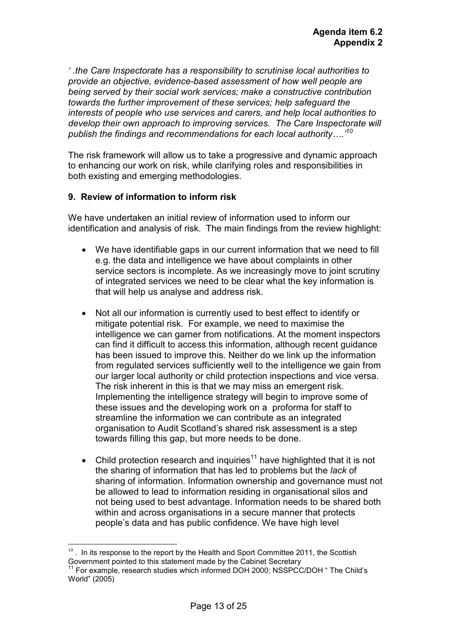*' .the Care Inspectorate has a responsibility to scrutinise local authorities to provide an objective, evidence-based assessment of how well people are being served by their social work services; make a constructive contribution towards the further improvement of these services; help safeguard the interests of people who use services and carers, and help local authorities to develop their own approach to improving services. The Care Inspectorate will publish the findings and recommendations for each local authority….'<sup>10</sup>*

The risk framework will allow us to take a progressive and dynamic approach to enhancing our work on risk, while clarifying roles and responsibilities in both existing and emerging methodologies.

## **9. Review of information to inform risk**

We have undertaken an initial review of information used to inform our identification and analysis of risk. The main findings from the review highlight:

- We have identifiable gaps in our current information that we need to fill e.g. the data and intelligence we have about complaints in other service sectors is incomplete. As we increasingly move to joint scrutiny of integrated services we need to be clear what the key information is that will help us analyse and address risk.
- Not all our information is currently used to best effect to identify or mitigate potential risk. For example, we need to maximise the intelligence we can garner from notifications. At the moment inspectors can find it difficult to access this information, although recent guidance has been issued to improve this. Neither do we link up the information from regulated services sufficiently well to the intelligence we gain from our larger local authority or child protection inspections and vice versa. The risk inherent in this is that we may miss an emergent risk. Implementing the intelligence strategy will begin to improve some of these issues and the developing work on a proforma for staff to streamline the information we can contribute as an integrated organisation to Audit Scotland's shared risk assessment is a step towards filling this gap, but more needs to be done.
- Child protection research and inquiries<sup>11</sup> have highlighted that it is not the sharing of information that has led to problems but the *lack* of sharing of information. Information ownership and governance must not be allowed to lead to information residing in organisational silos and not being used to best advantage. Information needs to be shared both within and across organisations in a secure manner that protects people's data and has public confidence. We have high level

 $\overline{a}$ 

 $10<sup>10</sup>$ . In its response to the report by the Health and Sport Committee 2011, the Scottish Government pointed to this statement made by the Cabinet Secretary

<sup>&</sup>lt;sup>11</sup> For example, research studies which informed DOH 2000; NSSPCC/DOH " The Child's World" (2005)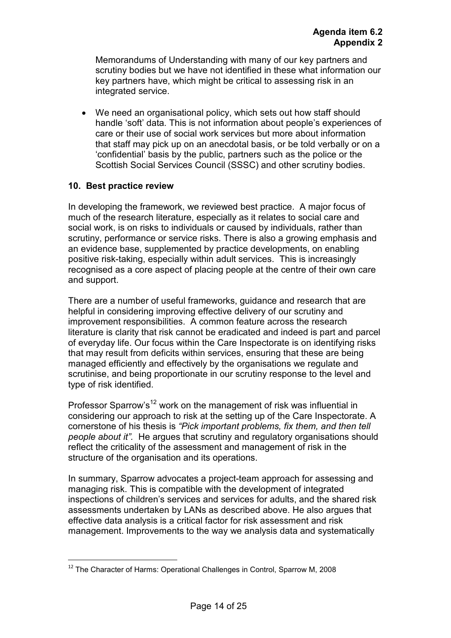Memorandums of Understanding with many of our key partners and scrutiny bodies but we have not identified in these what information our key partners have, which might be critical to assessing risk in an integrated service.

We need an organisational policy, which sets out how staff should handle 'soft' data*.* This is not information about people's experiences of care or their use of social work services but more about information that staff may pick up on an anecdotal basis, or be told verbally or on a 'confidential' basis by the public, partners such as the police or the Scottish Social Services Council (SSSC) and other scrutiny bodies.

# **10. Best practice review**

 $\overline{a}$ 

In developing the framework, we reviewed best practice. A major focus of much of the research literature, especially as it relates to social care and social work, is on risks to individuals or caused by individuals, rather than scrutiny, performance or service risks. There is also a growing emphasis and an evidence base, supplemented by practice developments, on enabling positive risk-taking, especially within adult services. This is increasingly recognised as a core aspect of placing people at the centre of their own care and support.

There are a number of useful frameworks, guidance and research that are helpful in considering improving effective delivery of our scrutiny and improvement responsibilities. A common feature across the research literature is clarity that risk cannot be eradicated and indeed is part and parcel of everyday life. Our focus within the Care Inspectorate is on identifying risks that may result from deficits within services, ensuring that these are being managed efficiently and effectively by the organisations we regulate and scrutinise, and being proportionate in our scrutiny response to the level and type of risk identified.

Professor Sparrow's<sup>12</sup> work on the management of risk was influential in considering our approach to risk at the setting up of the Care Inspectorate. A cornerstone of his thesis is *"Pick important problems, fix them, and then tell people about it".* He argues that scrutiny and regulatory organisations should reflect the criticality of the assessment and management of risk in the structure of the organisation and its operations.

In summary, Sparrow advocates a project-team approach for assessing and managing risk. This is compatible with the development of integrated inspections of children's services and services for adults, and the shared risk assessments undertaken by LANs as described above. He also argues that effective data analysis is a critical factor for risk assessment and risk management. Improvements to the way we analysis data and systematically

 $12$  The Character of Harms: Operational Challenges in Control, Sparrow M, 2008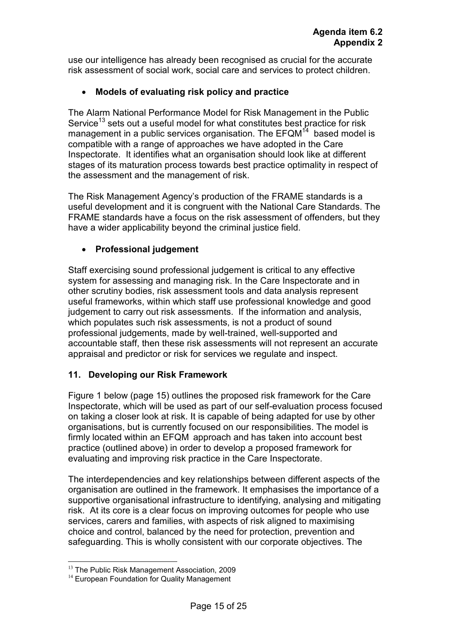use our intelligence has already been recognised as crucial for the accurate risk assessment of social work, social care and services to protect children.

# • **Models of evaluating risk policy and practice**

The Alarm National Performance Model for Risk Management in the Public Service<sup>13</sup> sets out a useful model for what constitutes best practice for risk management in a public services organisation. The  $EFGM<sup>14</sup>$  based model is compatible with a range of approaches we have adopted in the Care Inspectorate. It identifies what an organisation should look like at different stages of its maturation process towards best practice optimality in respect of the assessment and the management of risk.

The Risk Management Agency's production of the FRAME standards is a useful development and it is congruent with the National Care Standards. The FRAME standards have a focus on the risk assessment of offenders, but they have a wider applicability beyond the criminal justice field.

# • **Professional judgement**

Staff exercising sound professional judgement is critical to any effective system for assessing and managing risk. In the Care Inspectorate and in other scrutiny bodies, risk assessment tools and data analysis represent useful frameworks, within which staff use professional knowledge and good judgement to carry out risk assessments. If the information and analysis, which populates such risk assessments, is not a product of sound professional judgements, made by well-trained, well-supported and accountable staff, then these risk assessments will not represent an accurate appraisal and predictor or risk for services we regulate and inspect.

## **11. Developing our Risk Framework**

Figure 1 below (page 15) outlines the proposed risk framework for the Care Inspectorate, which will be used as part of our self-evaluation process focused on taking a closer look at risk. It is capable of being adapted for use by other organisations, but is currently focused on our responsibilities. The model is firmly located within an EFQM approach and has taken into account best practice (outlined above) in order to develop a proposed framework for evaluating and improving risk practice in the Care Inspectorate.

The interdependencies and key relationships between different aspects of the organisation are outlined in the framework. It emphasises the importance of a supportive organisational infrastructure to identifying, analysing and mitigating risk. At its core is a clear focus on improving outcomes for people who use services, carers and families, with aspects of risk aligned to maximising choice and control, balanced by the need for protection, prevention and safeguarding. This is wholly consistent with our corporate objectives. The

 $\overline{a}$ 

<sup>&</sup>lt;sup>13</sup> The Public Risk Management Association, 2009

<sup>&</sup>lt;sup>14</sup> European Foundation for Quality Management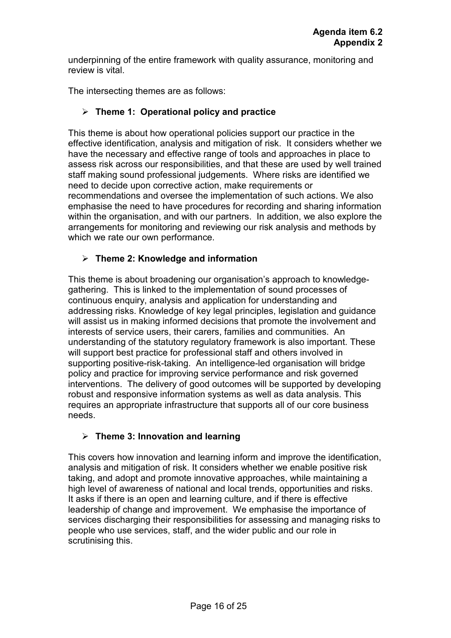underpinning of the entire framework with quality assurance, monitoring and review is vital.

The intersecting themes are as follows:

# **Theme 1: Operational policy and practice**

This theme is about how operational policies support our practice in the effective identification, analysis and mitigation of risk. It considers whether we have the necessary and effective range of tools and approaches in place to assess risk across our responsibilities, and that these are used by well trained staff making sound professional judgements. Where risks are identified we need to decide upon corrective action, make requirements or recommendations and oversee the implementation of such actions. We also emphasise the need to have procedures for recording and sharing information within the organisation, and with our partners. In addition, we also explore the arrangements for monitoring and reviewing our risk analysis and methods by which we rate our own performance.

# **Theme 2: Knowledge and information**

This theme is about broadening our organisation's approach to knowledgegathering. This is linked to the implementation of sound processes of continuous enquiry, analysis and application for understanding and addressing risks. Knowledge of key legal principles, legislation and guidance will assist us in making informed decisions that promote the involvement and interests of service users, their carers, families and communities. An understanding of the statutory regulatory framework is also important. These will support best practice for professional staff and others involved in supporting positive-risk-taking. An intelligence-led organisation will bridge policy and practice for improving service performance and risk governed interventions. The delivery of good outcomes will be supported by developing robust and responsive information systems as well as data analysis. This requires an appropriate infrastructure that supports all of our core business needs.

# **Theme 3: Innovation and learning**

This covers how innovation and learning inform and improve the identification, analysis and mitigation of risk. It considers whether we enable positive risk taking, and adopt and promote innovative approaches, while maintaining a high level of awareness of national and local trends, opportunities and risks. It asks if there is an open and learning culture, and if there is effective leadership of change and improvement. We emphasise the importance of services discharging their responsibilities for assessing and managing risks to people who use services, staff, and the wider public and our role in scrutinising this.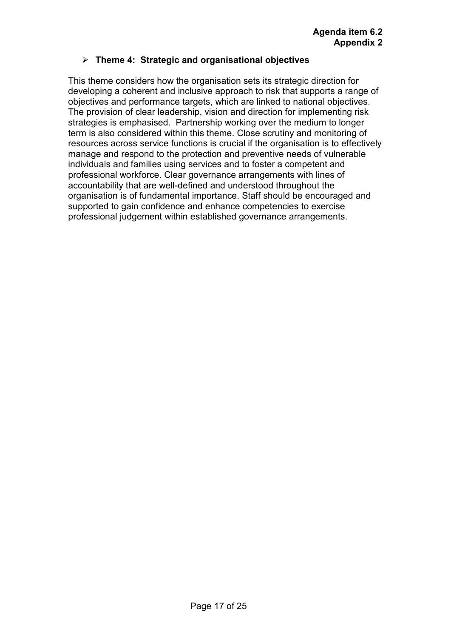## **Theme 4: Strategic and organisational objectives**

This theme considers how the organisation sets its strategic direction for developing a coherent and inclusive approach to risk that supports a range of objectives and performance targets, which are linked to national objectives. The provision of clear leadership, vision and direction for implementing risk strategies is emphasised. Partnership working over the medium to longer term is also considered within this theme. Close scrutiny and monitoring of resources across service functions is crucial if the organisation is to effectively manage and respond to the protection and preventive needs of vulnerable individuals and families using services and to foster a competent and professional workforce. Clear governance arrangements with lines of accountability that are well-defined and understood throughout the organisation is of fundamental importance. Staff should be encouraged and supported to gain confidence and enhance competencies to exercise professional judgement within established governance arrangements.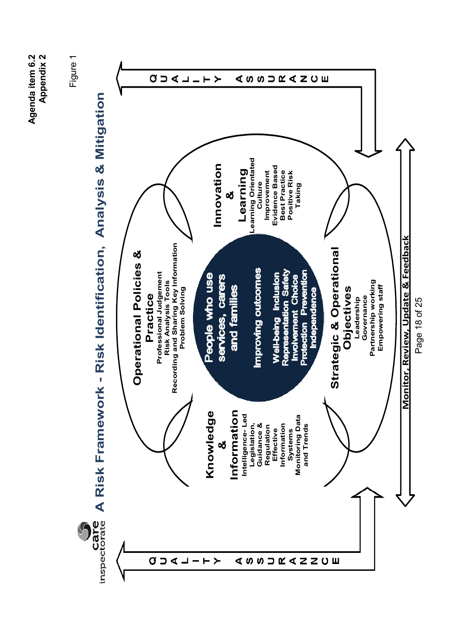**Agenda item 6.2 Appendix 2**  Agenda item 6.2 Appendix 2

Figure 1



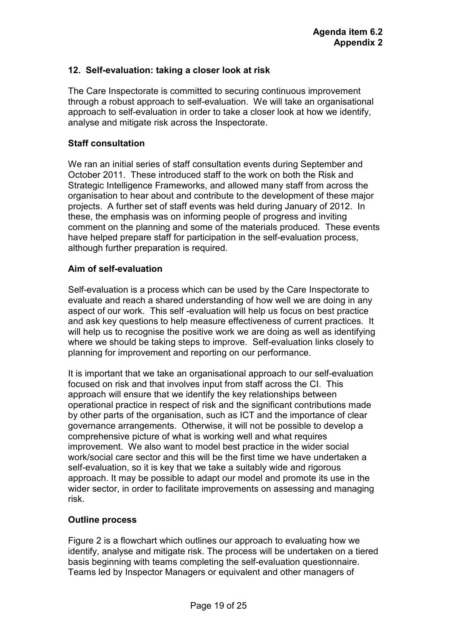# **12. Self-evaluation: taking a closer look at risk**

The Care Inspectorate is committed to securing continuous improvement through a robust approach to self-evaluation. We will take an organisational approach to self-evaluation in order to take a closer look at how we identify, analyse and mitigate risk across the Inspectorate.

#### **Staff consultation**

We ran an initial series of staff consultation events during September and October 2011. These introduced staff to the work on both the Risk and Strategic Intelligence Frameworks, and allowed many staff from across the organisation to hear about and contribute to the development of these major projects. A further set of staff events was held during January of 2012. In these, the emphasis was on informing people of progress and inviting comment on the planning and some of the materials produced. These events have helped prepare staff for participation in the self-evaluation process, although further preparation is required.

#### **Aim of self-evaluation**

Self-evaluation is a process which can be used by the Care Inspectorate to evaluate and reach a shared understanding of how well we are doing in any aspect of our work. This self -evaluation will help us focus on best practice and ask key questions to help measure effectiveness of current practices. It will help us to recognise the positive work we are doing as well as identifying where we should be taking steps to improve. Self-evaluation links closely to planning for improvement and reporting on our performance.

It is important that we take an organisational approach to our self-evaluation focused on risk and that involves input from staff across the CI. This approach will ensure that we identify the key relationships between operational practice in respect of risk and the significant contributions made by other parts of the organisation, such as ICT and the importance of clear governance arrangements. Otherwise, it will not be possible to develop a comprehensive picture of what is working well and what requires improvement. We also want to model best practice in the wider social work/social care sector and this will be the first time we have undertaken a self-evaluation, so it is key that we take a suitably wide and rigorous approach. It may be possible to adapt our model and promote its use in the wider sector, in order to facilitate improvements on assessing and managing risk.

## **Outline process**

Figure 2 is a flowchart which outlines our approach to evaluating how we identify, analyse and mitigate risk. The process will be undertaken on a tiered basis beginning with teams completing the self-evaluation questionnaire. Teams led by Inspector Managers or equivalent and other managers of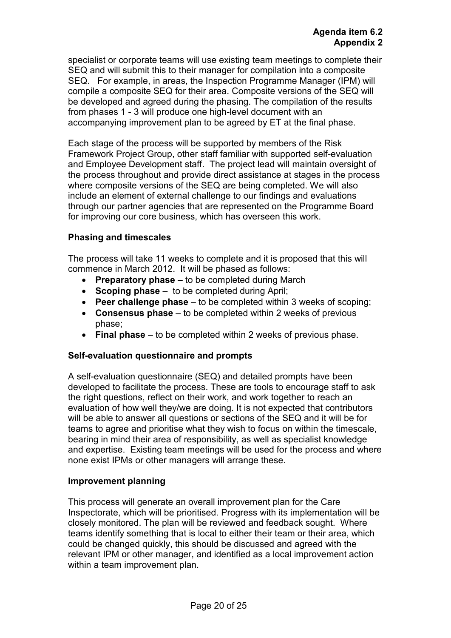specialist or corporate teams will use existing team meetings to complete their SEQ and will submit this to their manager for compilation into a composite SEQ. For example, in areas, the Inspection Programme Manager (IPM) will compile a composite SEQ for their area. Composite versions of the SEQ will be developed and agreed during the phasing. The compilation of the results from phases 1 - 3 will produce one high-level document with an accompanying improvement plan to be agreed by ET at the final phase.

Each stage of the process will be supported by members of the Risk Framework Project Group, other staff familiar with supported self-evaluation and Employee Development staff. The project lead will maintain oversight of the process throughout and provide direct assistance at stages in the process where composite versions of the SEQ are being completed. We will also include an element of external challenge to our findings and evaluations through our partner agencies that are represented on the Programme Board for improving our core business, which has overseen this work.

# **Phasing and timescales**

The process will take 11 weeks to complete and it is proposed that this will commence in March 2012. It will be phased as follows:

- **Preparatory phase** to be completed during March
- **Scoping phase** to be completed during April;
- **Peer challenge phase** to be completed within 3 weeks of scoping;
- **Consensus phase** to be completed within 2 weeks of previous phase;
- **Final phase** to be completed within 2 weeks of previous phase.

## **Self-evaluation questionnaire and prompts**

A self-evaluation questionnaire (SEQ) and detailed prompts have been developed to facilitate the process. These are tools to encourage staff to ask the right questions, reflect on their work, and work together to reach an evaluation of how well they/we are doing. It is not expected that contributors will be able to answer all questions or sections of the SEQ and it will be for teams to agree and prioritise what they wish to focus on within the timescale, bearing in mind their area of responsibility, as well as specialist knowledge and expertise. Existing team meetings will be used for the process and where none exist IPMs or other managers will arrange these.

## **Improvement planning**

This process will generate an overall improvement plan for the Care Inspectorate, which will be prioritised. Progress with its implementation will be closely monitored. The plan will be reviewed and feedback sought. Where teams identify something that is local to either their team or their area, which could be changed quickly, this should be discussed and agreed with the relevant IPM or other manager, and identified as a local improvement action within a team improvement plan.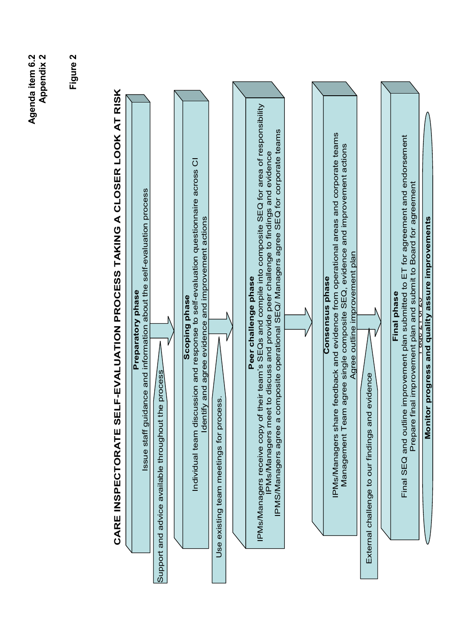Agenda item 6.2<br>Appendix 2 **Agenda item 6.2 Appendix 2** 

**Figure 2** 

# CARE INSPECTORATE SELF-EVALUATION PROCESS TAKING A CLOSER LOOK AT RISK **CARE INSPECTORATE SELF-EVALUATION PROCESS TAKING A CLOSER LOOK AT RISK**

|                                         | uidance and information about the self-evaluation process<br>Preparatory phase<br>Issue staff gi                                                                                                                                                                                                                   |  |
|-----------------------------------------|--------------------------------------------------------------------------------------------------------------------------------------------------------------------------------------------------------------------------------------------------------------------------------------------------------------------|--|
| Support and advice available throughout | the process                                                                                                                                                                                                                                                                                                        |  |
|                                         | Individual team discussion and response to self-evaluation questionnaire across CI<br>Identify and agree evidence and improvement actions<br>Scoping phase                                                                                                                                                         |  |
|                                         | Use existing team meetings for process.                                                                                                                                                                                                                                                                            |  |
|                                         |                                                                                                                                                                                                                                                                                                                    |  |
|                                         | of their team's SEQs and compile into composite SEQ for area of responsibility<br>PMS/Managers agree a composite operational SEQ/ Managers agree SEQ for corporate teams<br>PMs/Managers meet to discuss and provide peer challenge to findings and evidence<br>Peer challenge phase<br>IPMs/Managers receive copy |  |
|                                         |                                                                                                                                                                                                                                                                                                                    |  |
|                                         |                                                                                                                                                                                                                                                                                                                    |  |
|                                         | IPMs/Managers share feedback and evidence from operational areas and corporate teams<br>Management Team agree single composite SEQ, evidence and improvement actions<br>Agree outline improvement plan<br><b>Oonsensus phase</b>                                                                                   |  |
|                                         | nd evidence<br>External challenge to our findings are                                                                                                                                                                                                                                                              |  |
|                                         |                                                                                                                                                                                                                                                                                                                    |  |
|                                         | Final SEQ and outline improvement plan submitted to ET for agreement and endorsement<br>Prepare final improvement plan and submit to Board for agreement<br>Final phase                                                                                                                                            |  |
|                                         | <b>245410120</b>                                                                                                                                                                                                                                                                                                   |  |

**Monitor progress and quality assure improvements**

Monitor progress and quality assure improvements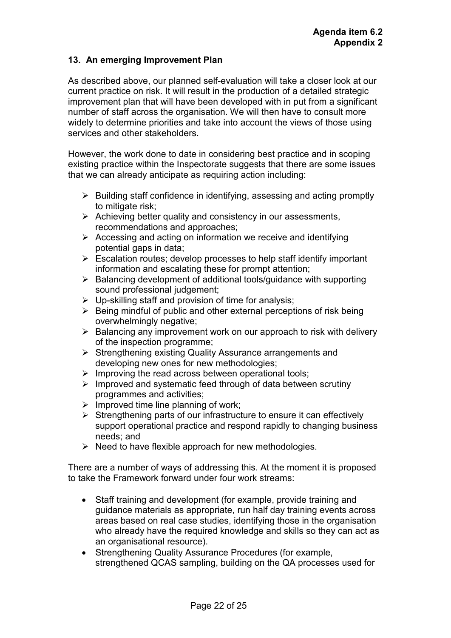# **13. An emerging Improvement Plan**

As described above, our planned self-evaluation will take a closer look at our current practice on risk. It will result in the production of a detailed strategic improvement plan that will have been developed with in put from a significant number of staff across the organisation. We will then have to consult more widely to determine priorities and take into account the views of those using services and other stakeholders.

However, the work done to date in considering best practice and in scoping existing practice within the Inspectorate suggests that there are some issues that we can already anticipate as requiring action including:

- $\triangleright$  Building staff confidence in identifying, assessing and acting promptly to mitigate risk;
- $\triangleright$  Achieving better quality and consistency in our assessments, recommendations and approaches;
- $\triangleright$  Accessing and acting on information we receive and identifying potential gaps in data;
- $\triangleright$  Escalation routes; develop processes to help staff identify important information and escalating these for prompt attention;
- $\triangleright$  Balancing development of additional tools/guidance with supporting sound professional judgement;
- $\triangleright$  Up-skilling staff and provision of time for analysis;
- $\triangleright$  Being mindful of public and other external perceptions of risk being overwhelmingly negative;
- $\triangleright$  Balancing any improvement work on our approach to risk with delivery of the inspection programme;
- $\triangleright$  Strengthening existing Quality Assurance arrangements and developing new ones for new methodologies;
- $\triangleright$  Improving the read across between operational tools;
- $\triangleright$  Improved and systematic feed through of data between scrutiny programmes and activities;
- $\triangleright$  Improved time line planning of work;
- $\triangleright$  Strengthening parts of our infrastructure to ensure it can effectively support operational practice and respond rapidly to changing business needs; and
- $\triangleright$  Need to have flexible approach for new methodologies.

There are a number of ways of addressing this. At the moment it is proposed to take the Framework forward under four work streams:

- Staff training and development (for example, provide training and guidance materials as appropriate, run half day training events across areas based on real case studies, identifying those in the organisation who already have the required knowledge and skills so they can act as an organisational resource).
- Strengthening Quality Assurance Procedures (for example, strengthened QCAS sampling, building on the QA processes used for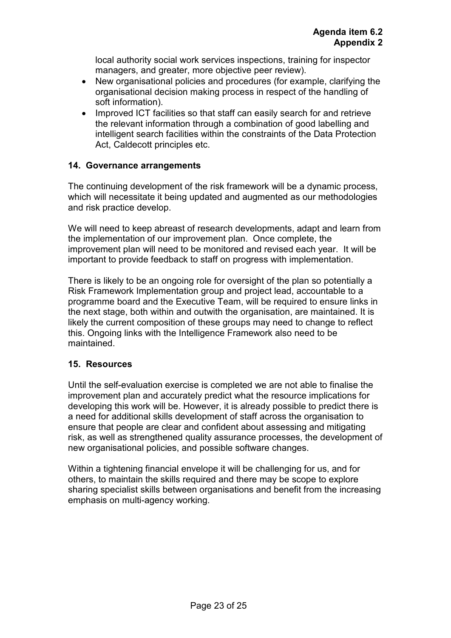local authority social work services inspections, training for inspector managers, and greater, more objective peer review).

- New organisational policies and procedures (for example, clarifying the organisational decision making process in respect of the handling of soft information).
- Improved ICT facilities so that staff can easily search for and retrieve the relevant information through a combination of good labelling and intelligent search facilities within the constraints of the Data Protection Act, Caldecott principles etc.

# **14. Governance arrangements**

The continuing development of the risk framework will be a dynamic process, which will necessitate it being updated and augmented as our methodologies and risk practice develop.

We will need to keep abreast of research developments, adapt and learn from the implementation of our improvement plan. Once complete, the improvement plan will need to be monitored and revised each year. It will be important to provide feedback to staff on progress with implementation.

There is likely to be an ongoing role for oversight of the plan so potentially a Risk Framework Implementation group and project lead, accountable to a programme board and the Executive Team, will be required to ensure links in the next stage, both within and outwith the organisation, are maintained. It is likely the current composition of these groups may need to change to reflect this. Ongoing links with the Intelligence Framework also need to be maintained.

## **15. Resources**

Until the self-evaluation exercise is completed we are not able to finalise the improvement plan and accurately predict what the resource implications for developing this work will be. However, it is already possible to predict there is a need for additional skills development of staff across the organisation to ensure that people are clear and confident about assessing and mitigating risk, as well as strengthened quality assurance processes, the development of new organisational policies, and possible software changes.

Within a tightening financial envelope it will be challenging for us, and for others, to maintain the skills required and there may be scope to explore sharing specialist skills between organisations and benefit from the increasing emphasis on multi-agency working.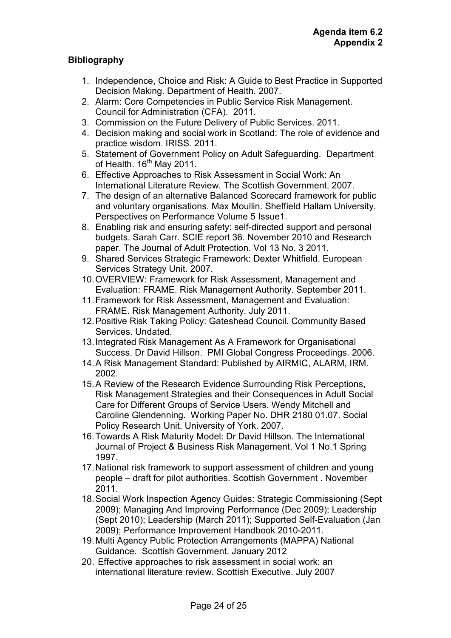# **Bibliography**

- 1. Independence, Choice and Risk: A Guide to Best Practice in Supported Decision Making. Department of Health. 2007.
- 2. Alarm: Core Competencies in Public Service Risk Management. Council for Administration (CFA). 2011.
- 3. Commission on the Future Delivery of Public Services. 2011.
- 4. Decision making and social work in Scotland: The role of evidence and practice wisdom. IRISS. 2011.
- 5. Statement of Government Policy on Adult Safeguarding. Department of Health.  $16<sup>th</sup>$  May 2011.
- 6. Effective Approaches to Risk Assessment in Social Work: An International Literature Review. The Scottish Government. 2007.
- 7. The design of an alternative Balanced Scorecard framework for public and voluntary organisations. Max Moullin. Sheffield Hallam University. Perspectives on Performance Volume 5 Issue1.
- 8. Enabling risk and ensuring safety: self-directed support and personal budgets. Sarah Carr. SCIE report 36. November 2010 and Research paper. The Journal of Adult Protection. Vol 13 No. 3 2011.
- 9. Shared Services Strategic Framework: Dexter Whitfield. European Services Strategy Unit. 2007.
- 10. OVERVIEW: Framework for Risk Assessment, Management and Evaluation: FRAME. Risk Management Authority. September 2011.
- 11. Framework for Risk Assessment, Management and Evaluation: FRAME. Risk Management Authority. July 2011.
- 12. Positive Risk Taking Policy: Gateshead Council. Community Based Services. Undated.
- 13. Integrated Risk Management As A Framework for Organisational Success. Dr David Hillson. PMI Global Congress Proceedings. 2006.
- 14. A Risk Management Standard: Published by AIRMIC, ALARM, IRM. 2002.
- 15. A Review of the Research Evidence Surrounding Risk Perceptions, Risk Management Strategies and their Consequences in Adult Social Care for Different Groups of Service Users. Wendy Mitchell and Caroline Glendenning. Working Paper No. DHR 2180 01.07. Social Policy Research Unit. University of York. 2007.
- 16. Towards A Risk Maturity Model: Dr David Hillson. The International Journal of Project & Business Risk Management. Vol 1 No.1 Spring 1997.
- 17. National risk framework to support assessment of children and young people – draft for pilot authorities. Scottish Government . November 2011.
- 18. Social Work Inspection Agency Guides: Strategic Commissioning (Sept 2009); Managing And Improving Performance (Dec 2009); Leadership (Sept 2010); Leadership (March 2011); Supported Self-Evaluation (Jan 2009); Performance Improvement Handbook 2010-2011.
- 19. Multi Agency Public Protection Arrangements (MAPPA) National Guidance. Scottish Government. January 2012
- 20. Effective approaches to risk assessment in social work: an international literature review. Scottish Executive. July 2007